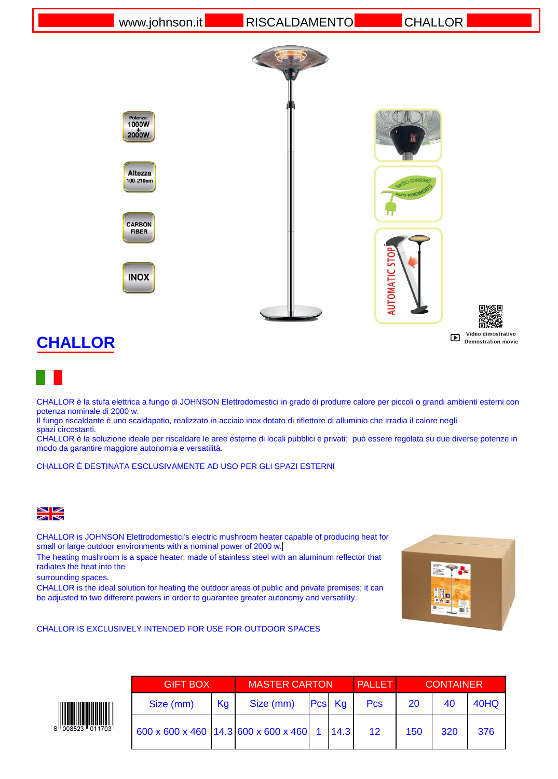[www.johnson.it](http://www.johnson.it/) RISCALDAMENTO CHALLOR



## **CHALLOR**



CHALLOR è la stufa elettrica a fungo di JOHNSON Elettrodomestici in grado di produrre calore per piccoli o grandi ambienti esterni con potenza nominale di 2000 w.

Il fungo riscaldante è uno scaldapatio, realizzato in acciaio inox dotato di riflettore di alluminio che irradia il calore negli spazi circostanti.

CHALLOR è la soluzione ideale per riscaldare le aree esterne di locali pubblici e privati; può essere regolata su due diverse potenze in modo da garantire maggiore autonomia e versatilità.

CHALLOR È DESTINATA ESCLUSIVAMENTE AD USO PER GLI SPAZI ESTERNI



CHALLOR is JOHNSON Elettrodomestici's electric mushroom heater capable of producing heat for small or large outdoor environments with a nominal power of 2000 w.

The heating mushroom is a space heater, made of stainless steel with an aluminum reflector that radiates the heat into the

surrounding spaces.

CHALLOR is the ideal solution for heating the outdoor areas of public and private premises; it can be adjusted to two different powers in order to guarantee greater autonomy and versatility.



CHALLOR IS EXCLUSIVELY INTENDED FOR USE FOR OUTDOOR SPACES



| <b>GIFT BOX</b>                                           |    | <b>MASTER CARTON</b> |  |        | <b>PALLET</b> | <b>CONTAINER</b> |     |      |
|-----------------------------------------------------------|----|----------------------|--|--------|---------------|------------------|-----|------|
| Size (mm)                                                 | Kg | Size (mm)            |  | Pcs Kg | <b>Pcs</b>    | 20               | 40  | 40HQ |
| 600 x 600 x 460 $ 14.3 600 \times 600 \times 460 $ 1 14.3 |    |                      |  |        | 12            | 150              | 320 | 376  |